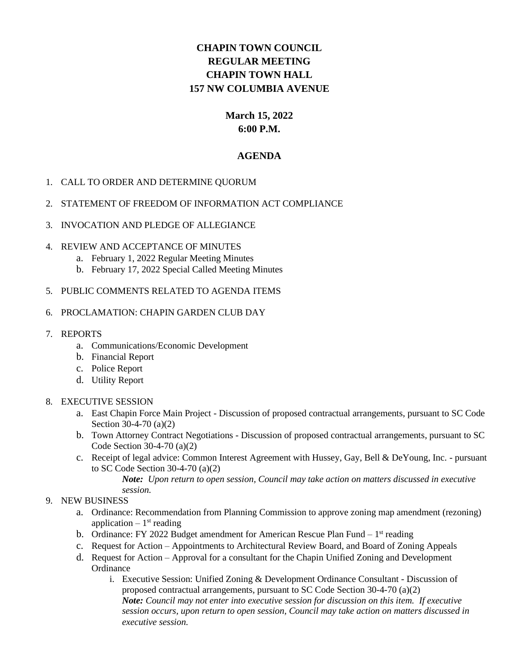## **CHAPIN TOWN COUNCIL REGULAR MEETING CHAPIN TOWN HALL 157 NW COLUMBIA AVENUE**

#### **March 15, 2022 6:00 P.M.**

#### **AGENDA**

#### 1. CALL TO ORDER AND DETERMINE QUORUM

#### 2. STATEMENT OF FREEDOM OF INFORMATION ACT COMPLIANCE

#### 3. INVOCATION AND PLEDGE OF ALLEGIANCE

#### 4. REVIEW AND ACCEPTANCE OF MINUTES

- a. February 1, 2022 Regular Meeting Minutes
- b. February 17, 2022 Special Called Meeting Minutes

#### 5. PUBLIC COMMENTS RELATED TO AGENDA ITEMS

#### 6. PROCLAMATION: CHAPIN GARDEN CLUB DAY

- 7. REPORTS
	- a. Communications/Economic Development
	- b. Financial Report
	- c. Police Report
	- d. Utility Report

#### 8. EXECUTIVE SESSION

- a. East Chapin Force Main Project Discussion of proposed contractual arrangements, pursuant to SC Code Section 30-4-70 (a)(2)
- b. Town Attorney Contract Negotiations Discussion of proposed contractual arrangements, pursuant to SC Code Section 30-4-70 (a)(2)
- c. Receipt of legal advice: Common Interest Agreement with Hussey, Gay, Bell & DeYoung, Inc. pursuant to SC Code Section 30-4-70 (a)(2)

*Note: Upon return to open session, Council may take action on matters discussed in executive session.*

- 9. NEW BUSINESS
	- a. Ordinance: Recommendation from Planning Commission to approve zoning map amendment (rezoning) application  $-1$ <sup>st</sup> reading
	- b. Ordinance: FY 2022 Budget amendment for American Rescue Plan Fund  $-1<sup>st</sup>$  reading
	- c. Request for Action Appointments to Architectural Review Board, and Board of Zoning Appeals
	- d. Request for Action Approval for a consultant for the Chapin Unified Zoning and Development **Ordinance** 
		- i. Executive Session: Unified Zoning & Development Ordinance Consultant Discussion of proposed contractual arrangements, pursuant to SC Code Section 30-4-70 (a)(2) *Note: Council may not enter into executive session for discussion on this item. If executive session occurs, upon return to open session, Council may take action on matters discussed in executive session.*